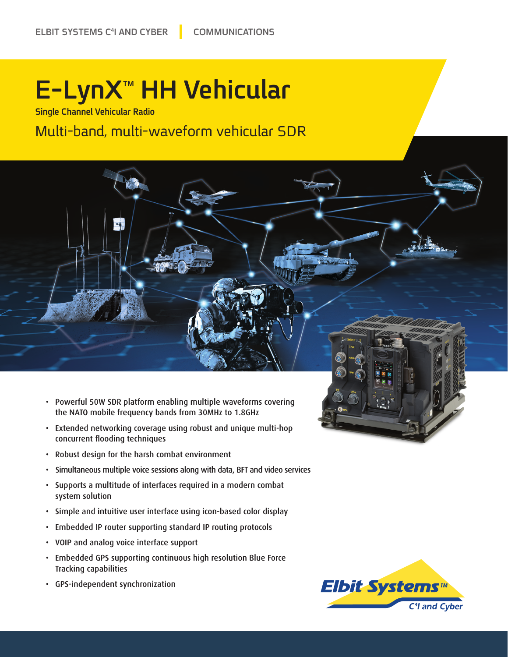# **E-LynX<sup>™</sup> HH Vehicular**

**Single Channel Vehicular Radio** 

#### Multi-band, multi-waveform vehicular SDR



- Extended networking coverage using robust and unique multi-hop concurrent flooding techniques
- Robust design for the harsh combat environment
- Simultaneous multiple voice sessions along with data, BFT and video services
- Supports a multitude of interfaces required in a modern combat system solution
- Simple and intuitive user interface using icon-based color display
- Embedded IP router supporting standard IP routing protocols
- VOIP and analog voice interface support
- Embedded GPS supporting continuous high resolution Blue Force Tracking capabilities
- GPS-independent synchronization